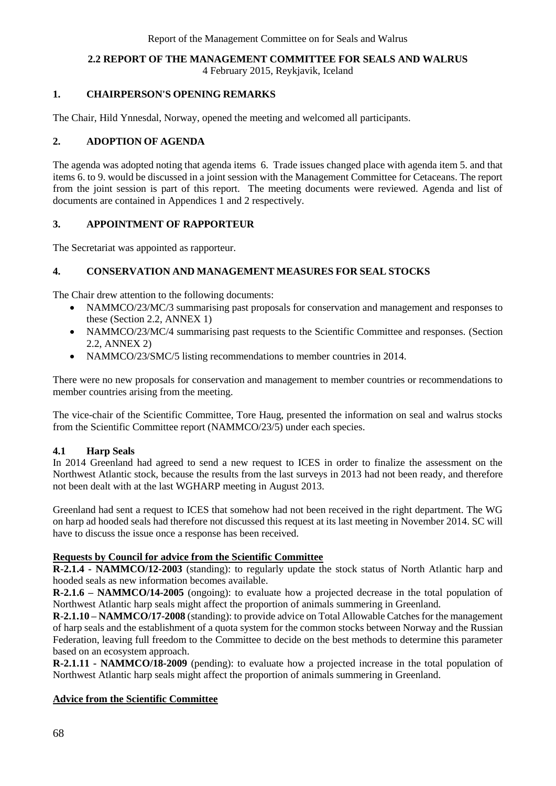## **2.2 REPORT OF THE MANAGEMENT COMMITTEE FOR SEALS AND WALRUS**

4 February 2015, Reykjavik, Iceland

### **1. CHAIRPERSON'S OPENING REMARKS**

The Chair, Hild Ynnesdal, Norway, opened the meeting and welcomed all participants.

### **2. ADOPTION OF AGENDA**

The agenda was adopted noting that agenda items 6. Trade issues changed place with agenda item 5. and that items 6. to 9. would be discussed in a joint session with the Management Committee for Cetaceans. The report from the joint session is part of this report. The meeting documents were reviewed. Agenda and list of documents are contained in Appendices 1 and 2 respectively.

### **3. APPOINTMENT OF RAPPORTEUR**

The Secretariat was appointed as rapporteur.

### **4. CONSERVATION AND MANAGEMENT MEASURES FOR SEAL STOCKS**

The Chair drew attention to the following documents:

- NAMMCO/23/MC/3 summarising past proposals for conservation and management and responses to these (Section 2.2, ANNEX 1)
- NAMMCO/23/MC/4 summarising past requests to the Scientific Committee and responses. (Section 2.2, ANNEX 2)
- NAMMCO/23/SMC/5 listing recommendations to member countries in 2014.

There were no new proposals for conservation and management to member countries or recommendations to member countries arising from the meeting.

The vice-chair of the Scientific Committee, Tore Haug, presented the information on seal and walrus stocks from the Scientific Committee report (NAMMCO/23/5) under each species.

### **4.1 Harp Seals**

In 2014 Greenland had agreed to send a new request to ICES in order to finalize the assessment on the Northwest Atlantic stock, because the results from the last surveys in 2013 had not been ready, and therefore not been dealt with at the last WGHARP meeting in August 2013.

Greenland had sent a request to ICES that somehow had not been received in the right department. The WG on harp ad hooded seals had therefore not discussed this request at its last meeting in November 2014. SC will have to discuss the issue once a response has been received.

### **Requests by Council for advice from the Scientific Committee**

**R-2.1.4 - NAMMCO/12-2003** (standing): to regularly update the stock status of North Atlantic harp and hooded seals as new information becomes available.

**R-2.1.6 – NAMMCO/14-2005** (ongoing): to evaluate how a projected decrease in the total population of Northwest Atlantic harp seals might affect the proportion of animals summering in Greenland.

**R**-**2.1.10 – NAMMCO/17-2008** (standing): to provide advice on Total Allowable Catches for the management of harp seals and the establishment of a quota system for the common stocks between Norway and the Russian Federation, leaving full freedom to the Committee to decide on the best methods to determine this parameter based on an ecosystem approach.

**R-2.1.11 - NAMMCO/18-2009** (pending): to evaluate how a projected increase in the total population of Northwest Atlantic harp seals might affect the proportion of animals summering in Greenland.

### **Advice from the Scientific Committee**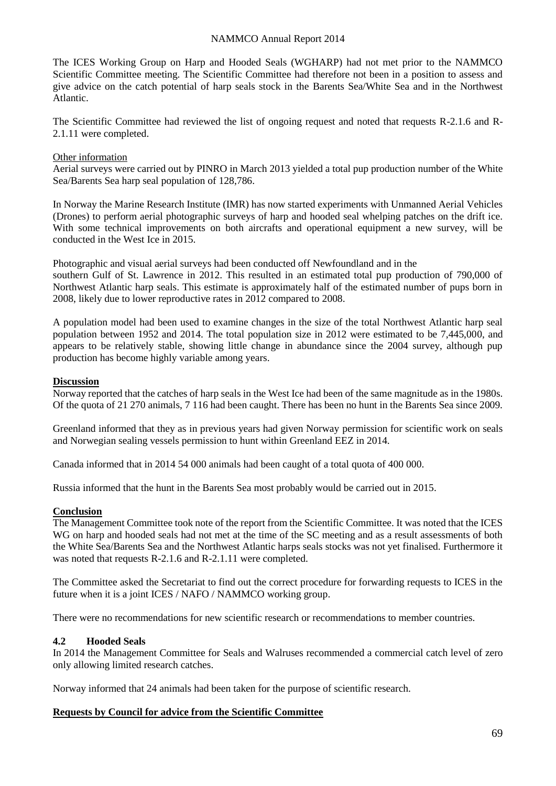The ICES Working Group on Harp and Hooded Seals (WGHARP) had not met prior to the NAMMCO Scientific Committee meeting. The Scientific Committee had therefore not been in a position to assess and give advice on the catch potential of harp seals stock in the Barents Sea/White Sea and in the Northwest Atlantic.

The Scientific Committee had reviewed the list of ongoing request and noted that requests R-2.1.6 and R-2.1.11 were completed.

#### Other information

Aerial surveys were carried out by PINRO in March 2013 yielded a total pup production number of the White Sea/Barents Sea harp seal population of 128,786.

In Norway the Marine Research Institute (IMR) has now started experiments with Unmanned Aerial Vehicles (Drones) to perform aerial photographic surveys of harp and hooded seal whelping patches on the drift ice. With some technical improvements on both aircrafts and operational equipment a new survey, will be conducted in the West Ice in 2015.

Photographic and visual aerial surveys had been conducted off Newfoundland and in the southern Gulf of St. Lawrence in 2012. This resulted in an estimated total pup production of 790,000 of Northwest Atlantic harp seals. This estimate is approximately half of the estimated number of pups born in 2008, likely due to lower reproductive rates in 2012 compared to 2008.

A population model had been used to examine changes in the size of the total Northwest Atlantic harp seal population between 1952 and 2014. The total population size in 2012 were estimated to be 7,445,000, and appears to be relatively stable, showing little change in abundance since the 2004 survey, although pup production has become highly variable among years.

#### **Discussion**

Norway reported that the catches of harp seals in the West Ice had been of the same magnitude as in the 1980s. Of the quota of 21 270 animals, 7 116 had been caught. There has been no hunt in the Barents Sea since 2009.

Greenland informed that they as in previous years had given Norway permission for scientific work on seals and Norwegian sealing vessels permission to hunt within Greenland EEZ in 2014.

Canada informed that in 2014 54 000 animals had been caught of a total quota of 400 000.

Russia informed that the hunt in the Barents Sea most probably would be carried out in 2015.

## **Conclusion**

The Management Committee took note of the report from the Scientific Committee. It was noted that the ICES WG on harp and hooded seals had not met at the time of the SC meeting and as a result assessments of both the White Sea/Barents Sea and the Northwest Atlantic harps seals stocks was not yet finalised. Furthermore it was noted that requests R-2.1.6 and R-2.1.11 were completed.

The Committee asked the Secretariat to find out the correct procedure for forwarding requests to ICES in the future when it is a joint ICES / NAFO / NAMMCO working group.

There were no recommendations for new scientific research or recommendations to member countries.

### **4.2 Hooded Seals**

In 2014 the Management Committee for Seals and Walruses recommended a commercial catch level of zero only allowing limited research catches.

Norway informed that 24 animals had been taken for the purpose of scientific research.

### **Requests by Council for advice from the Scientific Committee**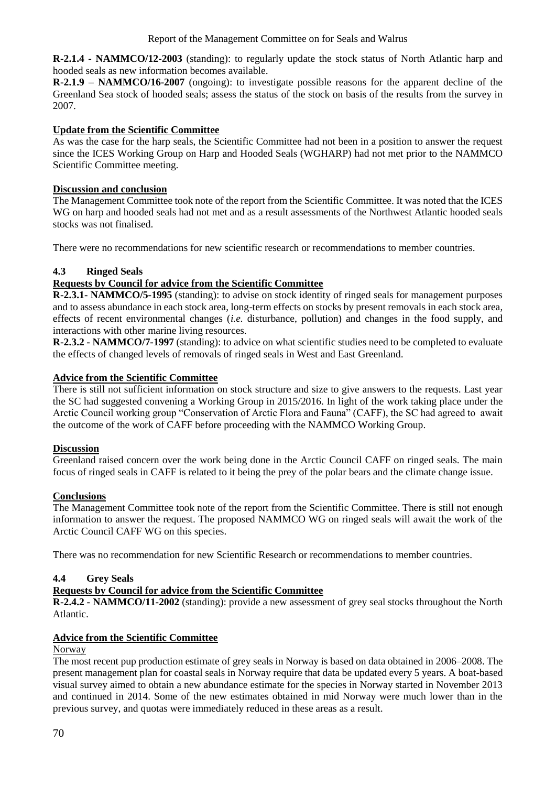**R-2.1.4 - NAMMCO/12-2003** (standing): to regularly update the stock status of North Atlantic harp and hooded seals as new information becomes available.

**R-2.1.9 – NAMMCO/16-2007** (ongoing): to investigate possible reasons for the apparent decline of the Greenland Sea stock of hooded seals; assess the status of the stock on basis of the results from the survey in 2007.

## **Update from the Scientific Committee**

As was the case for the harp seals, the Scientific Committee had not been in a position to answer the request since the ICES Working Group on Harp and Hooded Seals (WGHARP) had not met prior to the NAMMCO Scientific Committee meeting.

## **Discussion and conclusion**

The Management Committee took note of the report from the Scientific Committee. It was noted that the ICES WG on harp and hooded seals had not met and as a result assessments of the Northwest Atlantic hooded seals stocks was not finalised.

There were no recommendations for new scientific research or recommendations to member countries.

## **4.3 Ringed Seals**

## **Requests by Council for advice from the Scientific Committee**

**R-2.3.1- NAMMCO/5-1995** (standing): to advise on stock identity of ringed seals for management purposes and to assess abundance in each stock area, long-term effects on stocks by present removals in each stock area, effects of recent environmental changes (*i.e.* disturbance, pollution) and changes in the food supply, and interactions with other marine living resources.

**R-2.3.2 - NAMMCO/7-1997** (standing): to advice on what scientific studies need to be completed to evaluate the effects of changed levels of removals of ringed seals in West and East Greenland.

### **Advice from the Scientific Committee**

There is still not sufficient information on stock structure and size to give answers to the requests. Last year the SC had suggested convening a Working Group in 2015/2016. In light of the work taking place under the Arctic Council working group "Conservation of Arctic Flora and Fauna" (CAFF), the SC had agreed to await the outcome of the work of CAFF before proceeding with the NAMMCO Working Group.

### **Discussion**

Greenland raised concern over the work being done in the Arctic Council CAFF on ringed seals. The main focus of ringed seals in CAFF is related to it being the prey of the polar bears and the climate change issue.

### **Conclusions**

The Management Committee took note of the report from the Scientific Committee. There is still not enough information to answer the request. The proposed NAMMCO WG on ringed seals will await the work of the Arctic Council CAFF WG on this species.

There was no recommendation for new Scientific Research or recommendations to member countries.

## **4.4 Grey Seals**

## **Requests by Council for advice from the Scientific Committee**

**R-2.4.2 - NAMMCO/11-2002** (standing): provide a new assessment of grey seal stocks throughout the North Atlantic.

### **Advice from the Scientific Committee**

### Norway

The most recent pup production estimate of grey seals in Norway is based on data obtained in 2006–2008. The present management plan for coastal seals in Norway require that data be updated every 5 years. A boat-based visual survey aimed to obtain a new abundance estimate for the species in Norway started in November 2013 and continued in 2014. Some of the new estimates obtained in mid Norway were much lower than in the previous survey, and quotas were immediately reduced in these areas as a result.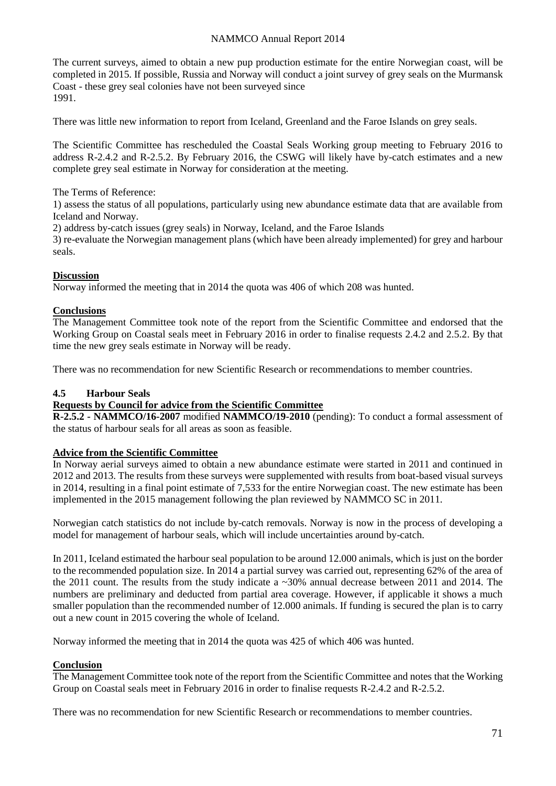The current surveys, aimed to obtain a new pup production estimate for the entire Norwegian coast, will be completed in 2015. If possible, Russia and Norway will conduct a joint survey of grey seals on the Murmansk Coast - these grey seal colonies have not been surveyed since 1991.

There was little new information to report from Iceland, Greenland and the Faroe Islands on grey seals.

The Scientific Committee has rescheduled the Coastal Seals Working group meeting to February 2016 to address R-2.4.2 and R-2.5.2. By February 2016, the CSWG will likely have by-catch estimates and a new complete grey seal estimate in Norway for consideration at the meeting.

The Terms of Reference:

1) assess the status of all populations, particularly using new abundance estimate data that are available from Iceland and Norway.

2) address by-catch issues (grey seals) in Norway, Iceland, and the Faroe Islands

3) re-evaluate the Norwegian management plans (which have been already implemented) for grey and harbour seals.

#### **Discussion**

Norway informed the meeting that in 2014 the quota was 406 of which 208 was hunted.

#### **Conclusions**

The Management Committee took note of the report from the Scientific Committee and endorsed that the Working Group on Coastal seals meet in February 2016 in order to finalise requests 2.4.2 and 2.5.2. By that time the new grey seals estimate in Norway will be ready.

There was no recommendation for new Scientific Research or recommendations to member countries.

#### **4.5 Harbour Seals**

#### **Requests by Council for advice from the Scientific Committee**

**R-2.5.2 - NAMMCO/16-2007** modified **NAMMCO/19-2010** (pending): To conduct a formal assessment of the status of harbour seals for all areas as soon as feasible.

#### **Advice from the Scientific Committee**

In Norway aerial surveys aimed to obtain a new abundance estimate were started in 2011 and continued in 2012 and 2013. The results from these surveys were supplemented with results from boat-based visual surveys in 2014, resulting in a final point estimate of 7,533 for the entire Norwegian coast. The new estimate has been implemented in the 2015 management following the plan reviewed by NAMMCO SC in 2011.

Norwegian catch statistics do not include by-catch removals. Norway is now in the process of developing a model for management of harbour seals, which will include uncertainties around by-catch.

In 2011, Iceland estimated the harbour seal population to be around 12.000 animals, which is just on the border to the recommended population size. In 2014 a partial survey was carried out, representing 62% of the area of the 2011 count. The results from the study indicate a ~30% annual decrease between 2011 and 2014. The numbers are preliminary and deducted from partial area coverage. However, if applicable it shows a much smaller population than the recommended number of 12.000 animals. If funding is secured the plan is to carry out a new count in 2015 covering the whole of Iceland.

Norway informed the meeting that in 2014 the quota was 425 of which 406 was hunted.

## **Conclusion**

The Management Committee took note of the report from the Scientific Committee and notes that the Working Group on Coastal seals meet in February 2016 in order to finalise requests R-2.4.2 and R-2.5.2.

There was no recommendation for new Scientific Research or recommendations to member countries.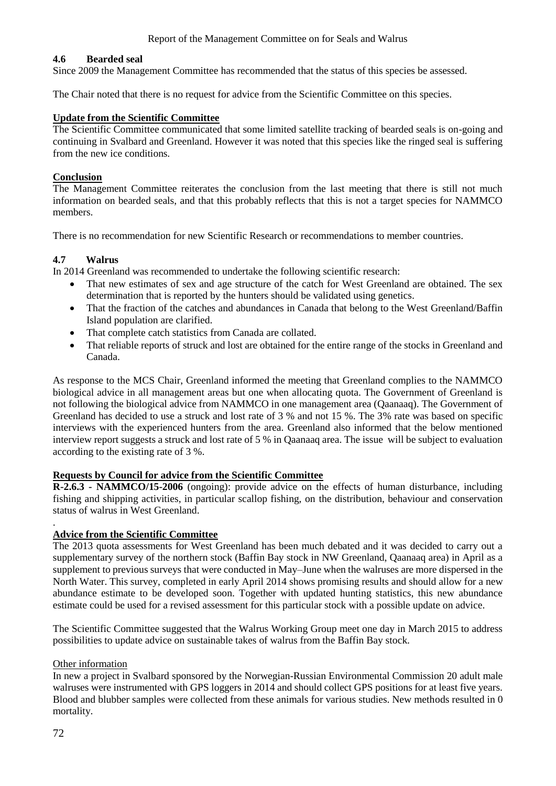### **4.6 Bearded seal**

Since 2009 the Management Committee has recommended that the status of this species be assessed.

The Chair noted that there is no request for advice from the Scientific Committee on this species.

#### **Update from the Scientific Committee**

The Scientific Committee communicated that some limited satellite tracking of bearded seals is on-going and continuing in Svalbard and Greenland. However it was noted that this species like the ringed seal is suffering from the new ice conditions.

#### **Conclusion**

The Management Committee reiterates the conclusion from the last meeting that there is still not much information on bearded seals, and that this probably reflects that this is not a target species for NAMMCO members.

There is no recommendation for new Scientific Research or recommendations to member countries.

### **4.7 Walrus**

In 2014 Greenland was recommended to undertake the following scientific research:

- That new estimates of sex and age structure of the catch for West Greenland are obtained. The sex determination that is reported by the hunters should be validated using genetics.
- That the fraction of the catches and abundances in Canada that belong to the West Greenland/Baffin Island population are clarified.
- That complete catch statistics from Canada are collated.
- That reliable reports of struck and lost are obtained for the entire range of the stocks in Greenland and Canada.

As response to the MCS Chair, Greenland informed the meeting that Greenland complies to the NAMMCO biological advice in all management areas but one when allocating quota. The Government of Greenland is not following the biological advice from NAMMCO in one management area (Qaanaaq). The Government of Greenland has decided to use a struck and lost rate of 3 % and not 15 %. The 3% rate was based on specific interviews with the experienced hunters from the area. Greenland also informed that the below mentioned interview report suggests a struck and lost rate of 5 % in Qaanaaq area. The issue will be subject to evaluation according to the existing rate of 3 %.

### **Requests by Council for advice from the Scientific Committee**

**R-2.6.3 - NAMMCO/15-2006** (ongoing): provide advice on the effects of human disturbance, including fishing and shipping activities, in particular scallop fishing, on the distribution, behaviour and conservation status of walrus in West Greenland.

#### **Advice from the Scientific Committee**

The 2013 quota assessments for West Greenland has been much debated and it was decided to carry out a supplementary survey of the northern stock (Baffin Bay stock in NW Greenland, Qaanaaq area) in April as a supplement to previous surveys that were conducted in May–June when the walruses are more dispersed in the North Water. This survey, completed in early April 2014 shows promising results and should allow for a new abundance estimate to be developed soon. Together with updated hunting statistics, this new abundance estimate could be used for a revised assessment for this particular stock with a possible update on advice.

The Scientific Committee suggested that the Walrus Working Group meet one day in March 2015 to address possibilities to update advice on sustainable takes of walrus from the Baffin Bay stock.

### Other information

In new a project in Svalbard sponsored by the Norwegian-Russian Environmental Commission 20 adult male walruses were instrumented with GPS loggers in 2014 and should collect GPS positions for at least five years. Blood and blubber samples were collected from these animals for various studies. New methods resulted in 0 mortality.

.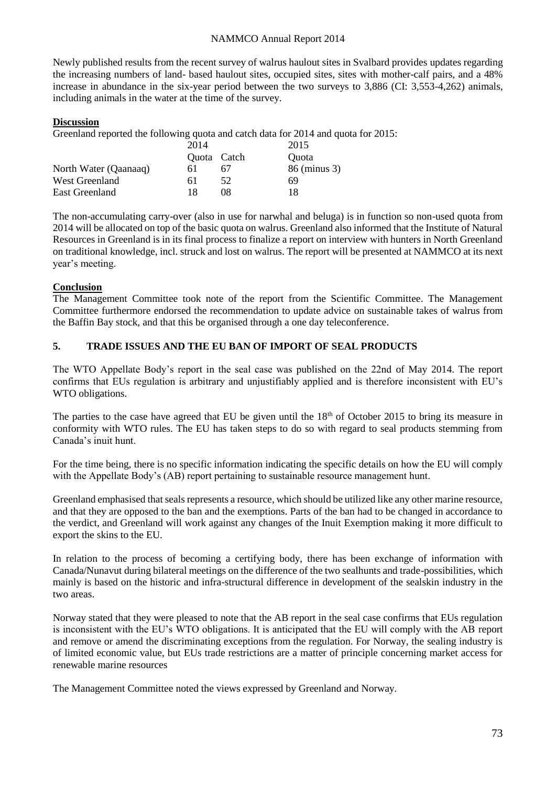Newly published results from the recent survey of walrus haulout sites in Svalbard provides updates regarding the increasing numbers of land- based haulout sites, occupied sites, sites with mother-calf pairs, and a 48% increase in abundance in the six-year period between the two surveys to 3,886 (CI: 3,553-4,262) animals, including animals in the water at the time of the survey.

#### **Discussion**

Greenland reported the following quota and catch data for 2014 and quota for 2015:

|                       | 2014        |     | 2015         |
|-----------------------|-------------|-----|--------------|
|                       | Quota Catch |     | <b>Ouota</b> |
| North Water (Qaanaaq) | 6 I         | 67  | 86 (minus 3) |
| West Greenland        | 61          | 52. | 69           |
| East Greenland        | 18          | 08  | 18           |

The non-accumulating carry-over (also in use for narwhal and beluga) is in function so non-used quota from 2014 will be allocated on top of the basic quota on walrus. Greenland also informed that the Institute of Natural Resources in Greenland is in its final process to finalize a report on interview with hunters in North Greenland on traditional knowledge, incl. struck and lost on walrus. The report will be presented at NAMMCO at its next year's meeting.

### **Conclusion**

The Management Committee took note of the report from the Scientific Committee. The Management Committee furthermore endorsed the recommendation to update advice on sustainable takes of walrus from the Baffin Bay stock, and that this be organised through a one day teleconference.

### **5. TRADE ISSUES AND THE EU BAN OF IMPORT OF SEAL PRODUCTS**

The WTO Appellate Body's report in the seal case was published on the 22nd of May 2014. The report confirms that EUs regulation is arbitrary and unjustifiably applied and is therefore inconsistent with EU's WTO obligations.

The parties to the case have agreed that EU be given until the  $18<sup>th</sup>$  of October 2015 to bring its measure in conformity with WTO rules. The EU has taken steps to do so with regard to seal products stemming from Canada's inuit hunt.

For the time being, there is no specific information indicating the specific details on how the EU will comply with the Appellate Body's (AB) report pertaining to sustainable resource management hunt.

Greenland emphasised that seals represents a resource, which should be utilized like any other marine resource, and that they are opposed to the ban and the exemptions. Parts of the ban had to be changed in accordance to the verdict, and Greenland will work against any changes of the Inuit Exemption making it more difficult to export the skins to the EU.

In relation to the process of becoming a certifying body, there has been exchange of information with Canada/Nunavut during bilateral meetings on the difference of the two sealhunts and trade-possibilities, which mainly is based on the historic and infra-structural difference in development of the sealskin industry in the two areas.

Norway stated that they were pleased to note that the AB report in the seal case confirms that EUs regulation is inconsistent with the EU's WTO obligations. It is anticipated that the EU will comply with the AB report and remove or amend the discriminating exceptions from the regulation. For Norway, the sealing industry is of limited economic value, but EUs trade restrictions are a matter of principle concerning market access for renewable marine resources

The Management Committee noted the views expressed by Greenland and Norway.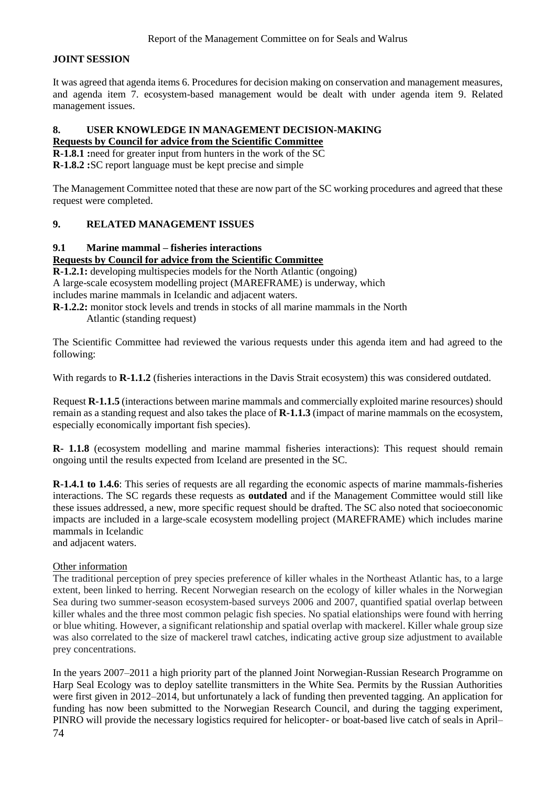### **JOINT SESSION**

It was agreed that agenda items 6. Procedures for decision making on conservation and management measures, and agenda item 7. ecosystem-based management would be dealt with under agenda item 9. Related management issues.

#### **8. USER KNOWLEDGE IN MANAGEMENT DECISION-MAKING Requests by Council for advice from the Scientific Committee**

**R-1.8.1 :**need for greater input from hunters in the work of the SC

**R-1.8.2 :**SC report language must be kept precise and simple

The Management Committee noted that these are now part of the SC working procedures and agreed that these request were completed.

### **9. RELATED MANAGEMENT ISSUES**

#### **9.1 Marine mammal – fisheries interactions**

#### **Requests by Council for advice from the Scientific Committee**

**R-1.2.1:** developing multispecies models for the North Atlantic (ongoing) A large-scale ecosystem modelling project (MAREFRAME) is underway, which includes marine mammals in Icelandic and adjacent waters. **R-1.2.2:** monitor stock levels and trends in stocks of all marine mammals in the North

Atlantic (standing request)

The Scientific Committee had reviewed the various requests under this agenda item and had agreed to the following:

With regards to **R-1.1.2** (fisheries interactions in the Davis Strait ecosystem) this was considered outdated.

Request **R-1.1.5** (interactions between marine mammals and commercially exploited marine resources) should remain as a standing request and also takes the place of **R-1.1.3** (impact of marine mammals on the ecosystem, especially economically important fish species).

**R- 1.1.8** (ecosystem modelling and marine mammal fisheries interactions): This request should remain ongoing until the results expected from Iceland are presented in the SC.

**R-1.4.1 to 1.4.6**: This series of requests are all regarding the economic aspects of marine mammals-fisheries interactions. The SC regards these requests as **outdated** and if the Management Committee would still like these issues addressed, a new, more specific request should be drafted. The SC also noted that socioeconomic impacts are included in a large-scale ecosystem modelling project (MAREFRAME) which includes marine mammals in Icelandic

and adjacent waters.

### Other information

The traditional perception of prey species preference of killer whales in the Northeast Atlantic has, to a large extent, been linked to herring. Recent Norwegian research on the ecology of killer whales in the Norwegian Sea during two summer-season ecosystem-based surveys 2006 and 2007, quantified spatial overlap between killer whales and the three most common pelagic fish species. No spatial elationships were found with herring or blue whiting. However, a significant relationship and spatial overlap with mackerel. Killer whale group size was also correlated to the size of mackerel trawl catches, indicating active group size adjustment to available prey concentrations.

74 In the years 2007–2011 a high priority part of the planned Joint Norwegian-Russian Research Programme on Harp Seal Ecology was to deploy satellite transmitters in the White Sea. Permits by the Russian Authorities were first given in 2012–2014, but unfortunately a lack of funding then prevented tagging. An application for funding has now been submitted to the Norwegian Research Council, and during the tagging experiment, PINRO will provide the necessary logistics required for helicopter- or boat-based live catch of seals in April–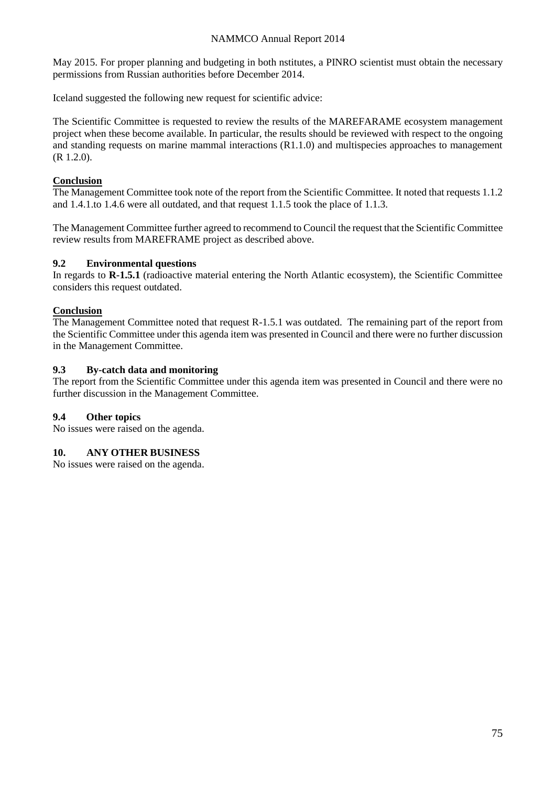May 2015. For proper planning and budgeting in both nstitutes, a PINRO scientist must obtain the necessary permissions from Russian authorities before December 2014.

Iceland suggested the following new request for scientific advice:

The Scientific Committee is requested to review the results of the MAREFARAME ecosystem management project when these become available. In particular, the results should be reviewed with respect to the ongoing and standing requests on marine mammal interactions (R1.1.0) and multispecies approaches to management (R 1.2.0).

### **Conclusion**

The Management Committee took note of the report from the Scientific Committee. It noted that requests 1.1.2 and 1.4.1.to 1.4.6 were all outdated, and that request 1.1.5 took the place of 1.1.3.

The Management Committee further agreed to recommend to Council the request that the Scientific Committee review results from MAREFRAME project as described above.

### **9.2 Environmental questions**

In regards to **R-1.5.1** (radioactive material entering the North Atlantic ecosystem), the Scientific Committee considers this request outdated.

#### **Conclusion**

The Management Committee noted that request R-1.5.1 was outdated. The remaining part of the report from the Scientific Committee under this agenda item was presented in Council and there were no further discussion in the Management Committee.

#### **9.3 By-catch data and monitoring**

The report from the Scientific Committee under this agenda item was presented in Council and there were no further discussion in the Management Committee.

### **9.4 Other topics**

No issues were raised on the agenda.

### **10. ANY OTHER BUSINESS**

No issues were raised on the agenda.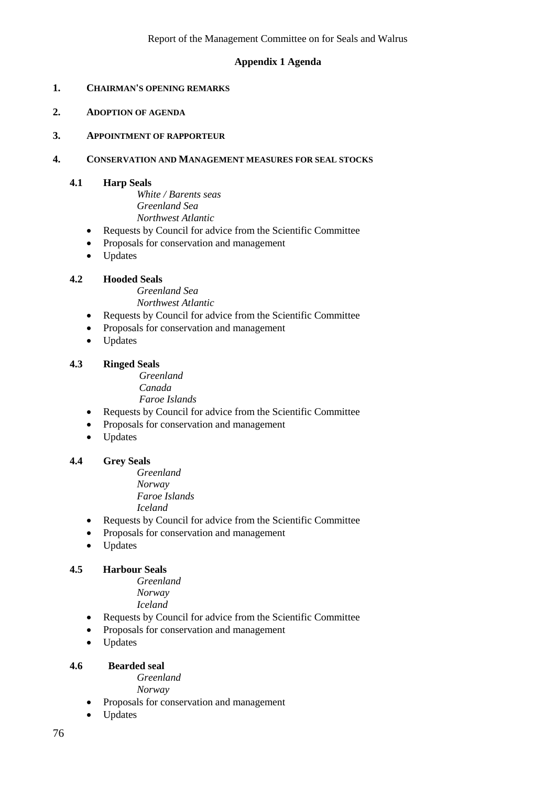### **Appendix 1 Agenda**

- **1. CHAIRMAN'S OPENING REMARKS**
- **2. ADOPTION OF AGENDA**
- **3. APPOINTMENT OF RAPPORTEUR**

### **4. CONSERVATION AND MANAGEMENT MEASURES FOR SEAL STOCKS**

#### **4.1 Harp Seals**

*White / Barents seas Greenland Sea Northwest Atlantic*

- Requests by Council for advice from the Scientific Committee
- Proposals for conservation and management
- Updates

### **4.2 Hooded Seals**

*Greenland Sea Northwest Atlantic*

- Requests by Council for advice from the Scientific Committee
- Proposals for conservation and management
- Updates

#### **4.3 Ringed Seals**

 *Greenland Canada Faroe Islands*

- Requests by Council for advice from the Scientific Committee
- Proposals for conservation and management
- Updates

### **4.4 Grey Seals**

*Greenland Norway Faroe Islands Iceland*

- Requests by Council for advice from the Scientific Committee
- Proposals for conservation and management
- Updates

### **4.5 Harbour Seals**

*Greenland Norway*

*Iceland*

- Requests by Council for advice from the Scientific Committee
- Proposals for conservation and management
- Updates

#### **4.6 Bearded seal**

*Greenland*

*Norway*

- Proposals for conservation and management
- Updates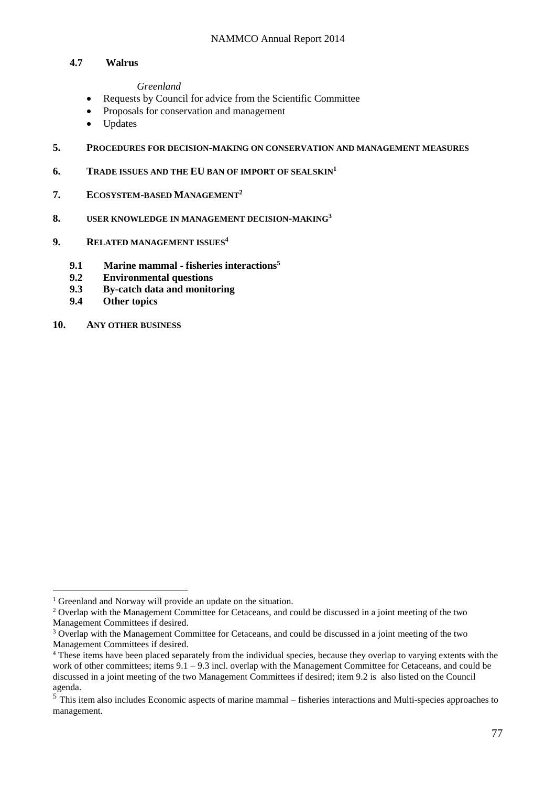#### **4.7 Walrus**

*Greenland*

- Requests by Council for advice from the Scientific Committee
- Proposals for conservation and management
- Updates
- **5. PROCEDURES FOR DECISION-MAKING ON CONSERVATION AND MANAGEMENT MEASURES**
- **6. TRADE ISSUES AND THE EU BAN OF IMPORT OF SEALSKIN<sup>1</sup>**
- **7. ECOSYSTEM-BASED MANAGEMENT<sup>2</sup>**
- **8. USER KNOWLEDGE IN MANAGEMENT DECISION-MAKING<sup>3</sup>**
- **9. RELATED MANAGEMENT ISSUES<sup>4</sup>**
	- **9.1 Marine mammal - fisheries interactions<sup>5</sup>**
	- **9.2 Environmental questions**
	- **9.3 By-catch data and monitoring**
	- **Other topics**
- **10. ANY OTHER BUSINESS**

<u>.</u>

<sup>&</sup>lt;sup>1</sup> Greenland and Norway will provide an update on the situation.

<sup>&</sup>lt;sup>2</sup> Overlap with the Management Committee for Cetaceans, and could be discussed in a joint meeting of the two Management Committees if desired.

<sup>&</sup>lt;sup>3</sup> Overlap with the Management Committee for Cetaceans, and could be discussed in a joint meeting of the two Management Committees if desired.

<sup>4</sup> These items have been placed separately from the individual species, because they overlap to varying extents with the work of other committees; items  $9.1 - 9.3$  incl. overlap with the Management Committee for Cetaceans, and could be discussed in a joint meeting of the two Management Committees if desired; item 9.2 is also listed on the Council agenda.

<sup>5</sup> This item also includes Economic aspects of marine mammal – fisheries interactions and Multi-species approaches to management.